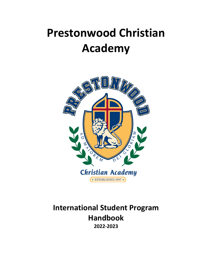# **Prestonwood Christian Academy**



**International Student Program Handbook 2022-2023**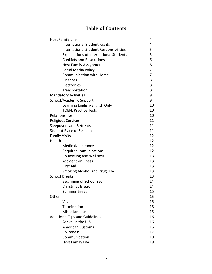## **Table of Contents**

| <b>Host Family Life</b>                       | 4  |
|-----------------------------------------------|----|
| <b>International Student Rights</b>           | 4  |
| <b>International Student Responsibilities</b> | 5  |
| <b>Expectations of International Students</b> | 5  |
| <b>Conflicts and Resolutions</b>              | 6  |
| <b>Host Family Assignments</b>                | 6  |
| Social Media Policy                           | 7  |
| <b>Communication with Home</b>                | 7  |
| <b>Finances</b>                               | 8  |
| Electronics                                   | 8  |
| Transportation                                | 8  |
| <b>Mandatory Activities</b>                   | 9  |
| School/Academic Support                       | 9  |
| Learning English/English Only                 | 10 |
| <b>TOEFL Practice Tests</b>                   | 10 |
| Relationships                                 | 10 |
| <b>Religious Services</b>                     | 11 |
| <b>Sleepovers and Retreats</b>                | 11 |
| <b>Student Place of Residence</b>             | 11 |
| <b>Family Visits</b>                          | 12 |
| Health                                        | 12 |
| Medical/Insurance                             | 12 |
| <b>Required Immunizations</b>                 | 12 |
| <b>Counseling and Wellness</b>                | 13 |
| <b>Accident or Illness</b>                    | 13 |
| <b>First Aid</b>                              | 13 |
| <b>Smoking Alcohol and Drug Use</b>           | 13 |
| <b>School Breaks</b>                          | 13 |
| Beginning of School Year                      | 14 |
| <b>Christmas Break</b>                        | 14 |
| Summer Break                                  | 15 |
| Other                                         | 15 |
| Visa                                          | 15 |
| Termination                                   | 15 |
| Miscellaneous                                 | 15 |
| <b>Additional Tips and Guidelines</b>         | 16 |
| Arrival in the U.S.                           | 16 |
| <b>American Customs</b>                       | 16 |
| Politeness                                    | 17 |
| Communication                                 | 18 |
| <b>Host Family Life</b>                       | 18 |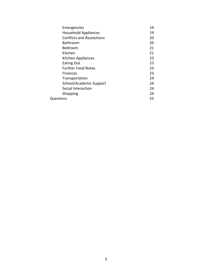| Emergencies                      | 19 |
|----------------------------------|----|
| <b>Household Appliances</b>      | 19 |
| <b>Conflicts and Resolutions</b> | 20 |
| Bathroom                         | 20 |
| Bedroom                          | 21 |
| Kitchen                          | 21 |
| Kitchen Appliances               | 23 |
| <b>Eating Out</b>                | 23 |
| <b>Further Food Notes</b>        | 23 |
| <b>Finances</b>                  | 23 |
| Transportation                   | 24 |
| School/Academic Support          | 24 |
| Social Interaction               | 24 |
| Shopping                         | 24 |
| Questions                        | 25 |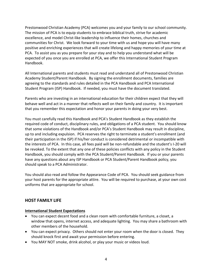Prestonwood Christian Academy (PCA) welcomes you and your family to our school community. The mission of PCA is to equip students to embrace biblical truth, strive for academic excellence, and model Christ-like leadership to influence their homes, churches and communities for Christ. We look forward to your time with us and hope you will have many positive and enriching experiences that will create lifelong and happy memories of your time at PCA. To assist you as you prepare for your stay and to help you understand what will be expected of you once you are enrolled at PCA, we offer this International Student Program Handbook.

All International parents and students must read and understand all of Prestonwood Christian Academy Student/Parent Handbook. By signing the enrollment documents, families are agreeing to the standards and rules detailed in the PCA Handbook and PCA International Student Program (ISP) Handbook. If needed, you must have the document translated.

Parents who are investing in an international education for their children expect that they will behave well and act in a manner that reflects well on their family and country. It is important that you remember this expectation and honor your parents in doing your very best.

You must carefully read this Handbook and PCA's Student Handbook as they establish the required code of conduct, disciplinary rules, and obligations of a PCA student. You should know that some violations of the Handbook and/or PCA's Student Handbook may result in discipline, up to and including expulsion. PCA reserves the right to terminate a student's enrollment (and their participation in the ISP) if his/her conduct is considered detrimental or incompatible with the interests of PCA. In this case, all fees paid will be non-refundable and the student's I-20 will be revoked. To the extent that any one of these policies conflicts with any policy in the Student Handbook, you should comply with the PCA Student/Parent Handbook. If you or your parents have any questions about any ISP Handbook or PCA Student/Parent Handbook policy, you should speak to a PCA Administrator.

You should also read and follow the Appearance Code of PCA. You should seek guidance from your host parents for the appropriate attire. You will be required to purchase, at your own cost uniforms that are appropriate for school.

## **HOST FAMILY LIFE**

## **International Student Expectations**

- You can expect decent food and a clean room with comfortable furniture, a closet, a window that opens, internet access, and adequate lighting. You may share a bathroom with other members of the household.
- You can expect privacy. Others should not enter your room when the door is closed. They should knock first and await your permission before entering.
- You MAY NOT smoke, drink alcohol, or play your music or videos loud.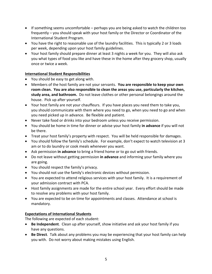- If something seems uncomfortable perhaps you are being asked to watch the children too frequently – you should speak with your host family or the Director or Coordinator of the International Student Program.
- You have the right to reasonable use of the laundry facilities. This is typically 2 or 3 loads per week, depending upon your host family guidelines.
- Your host family should prepare dinner at least 3 nights a week for you. They will also ask you what types of food you like and have these in the home after they grocery shop, usually once or twice a week.

## **International Student Responsibilities**

- You should be easy to get along with.
- Members of the host family are not your servants. **You are responsible to keep your own room clean. You are also responsible to clean the areas you use, particularly the kitchen, study area, and bathroom.** Do not leave clothes or other personal belongings around the house. Pick up after yourself.
- Your host family are not your chauffeurs. If you have places you need them to take you, you should communicate with them where you need to go, when you need to go and when you need picked up in advance. Be flexible and patient.
- Never take food or drinks into your bedroom unless you receive permission.
- You should be home in time for dinner or advise your host family **in advance** if you will not be there.
- Treat your host family's property with respect. You will be held responsible for damages.
- You should follow the family's schedule. For example, don't expect to watch television at 3 am or to do laundry or cook meals whenever you want.
- Ask permission **in advance** to bring a friend home or to go out with friends.
- Do not leave without getting permission **in advance** and informing your family where you are going.
- You should respect the family's privacy.
- You should not use the family's electronic devices without permission.
- You are expected to attend religious services with your host family. It is a requirement of your admission contract with PCA.
- Host family assignments are made for the entire school year. Every effort should be made to resolve any problems with your host family.
- You are expected to be on time for appointments and classes. Attendance at school is mandatory.

## **Expectations of International Students**

The following are expected of each student:

- **Be Independent**. Clean up after yourself, show initiative and ask your host family if you have any questions.
- **Be Direct**. Talk about any problems you may be experiencing that your host family can help you with. Do not worry about making mistakes using English.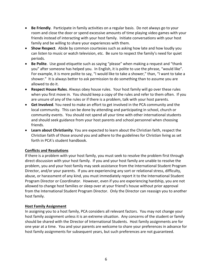- **Be Friendly**. Participate in family activities on a regular basis. Do not always go to your room and close the door or spend excessive amounts of time playing video games with your friends instead of interacting with your host family. Initiate conversations with your host family and be willing to share your experiences with them.
- **Show Respect**. Abide by common courtesies such as asking how late and how loudly you can listen to music or watch television, etc. Be sure to respect the family's need for quiet periods.
- **Be Polite**. Use good etiquette such as saying "please" when making a request and "thank you" after someone has helped you. In English, it is polite to use the phrase, "would like". For example, it is more polite to say, "I would like to take a shower," than, "I want to take a shower." It is always better to ask permission to do something than to assume you are allowed to do it.
- **Respect House Rules**. Always obey house rules. Your host family will go over these rules when you first move in. You should keep a copy of the rules and refer to them often. If you are unsure of any of the rules or if there is a problem, talk with your host parents.
- **Get Involved**. You need to make an effort to get involved in the PCA community and the local community. This can be done by attending and participating in school, church or community events. You should not spend all your time with other international students and should seek guidance from your host parents and school personnel when choosing friends.
- **Learn about Christianity**. You are expected to learn about the Christian faith, respect the Christian faith of those around you and adhere to the guidelines for Christian living as set forth in PCA's student handbook.

## **Conflicts and Resolutions**

If there is a problem with your host family, you must seek to resolve the problem first through direct discussion with your host family. If you and your host family are unable to resolve the problem, you and your host family may seek assistance from the International Student Program Director, and/or your parents. If you are experiencing any sort or relational stress, difficulty, abuse, or harassment of any kind, you must immediately report it to the International Student Program Director or Coordinator. However, even if you are experiencing hardship, you are not allowed to change host families or sleep over at your friend's house without prior approval from the International Student Program Director. Only the Director can reassign you to another host family.

#### **Host Family Assignment**

In assigning you to a host family, PCA considers all relevant factors. You may not change your host family assignment unless it is an extreme situation. Any concerns of the student or family should be shared with the Director of International Students. Host family assignments are for one year at a time. You and your parents are welcome to share your preferences in advance for host family assignments for subsequent years, but such preferences are not guaranteed.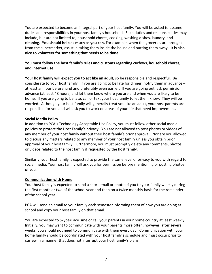You are expected to become an integral part of your host family. You will be asked to assume duties and responsibilities in your host family's household. Such duties and responsibilities may include, but are not limited to, household chores, cooking, washing dishes, laundry, and cleaning. **You should help as much as you can.** For example, when the groceries are brought from the supermarket, assist in taking them inside the house and putting them away**. It is also nice to volunteer for something that needs to be done.**

## **You must follow the host family's rules and customs regarding curfews, household chores, and internet use.**

**Your host family will expect you to act like an adult**, so be responsible and respectful. Be considerate to your host family. If you are going to be late for dinner, notify them in advance – at least an hour beforehand and preferably even earlier. If you are going out, ask permission in advance (at least 48 hours) and let them know where you are and when you are likely to be home. If you are going to be late, call or text your host family to let them know. They will be worried. Although your host family will generally treat you like an adult, your host parents are responsible for you and will ask you to work on areas of your life that need improvement.

#### **Social Media Policy**

In addition to PCA's Technology Acceptable Use Policy, you must follow other social media policies to protect the Host Family's privacy. You are not allowed to post photos or videos of any member of your host family without their host family's prior approval. Nor are you allowed to discuss any matters related to any member of your host family unless you obtain prior approval of your host family. Furthermore, you must promptly delete any comments, photos, or videos related to the host family if requested by the host family.

Similarly, your host family is expected to provide the same level of privacy to you with regard to social media. Your host family will ask you for permission before mentioning or posting photos of you.

#### **Communication with Home**

Your host family is expected to send a short email or photo of you to your family weekly during the first month or two of the school year and then on a twice monthly basis for the remainder of the school year.

PCA will send an email to your family each semester informing them of how you are doing at school and copy your host family on that email.

You are expected to Skype/FaceTime or call your parents in your home country at least weekly. Initially, you may want to communicate with your parents more often; however, after several weeks, you should not need to communicate with them every day. Communication with your home family should be coordinated with your host family's schedule and must occur prior to curfew in a manner that does not interrupt your host family's plans.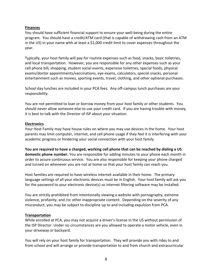#### **Finances**

You should have sufficient financial support to ensure your well-being during the entire program. You should have a credit/ATM card (that is capable of withdrawing cash from an ATM in the US) in your name with at least a \$1,000 credit limit to cover expenses throughout the year.

Typically, your host family will pay for routine expenses such as food, snacks, basic toiletries, and local transportation. However, you are responsible for any other expenses such as your cell phone bill, shopping, student social events, expensive toiletries, special foods, physical exams/doctor appointments/vaccinations, eye exams, calculators, special snacks, personal entertainment such as movies, sporting events, travel, clothing, and other optional purchases.

School day lunches are included in your PCA fees. Any off-campus lunch purchases are your responsibility.

You are not permitted to loan or borrow money from your host family or other students. You should never allow someone else to use your credit card. If you are having trouble with money, it is best to talk with the Director of ISP about your situation.

#### **Electronics**

Your Host Family may have house rules on where you may use devices in the home. Your host parents may limit computer, internet, and cell phone usage if they feel it is interfering with your academic progress or hindering your social connection with your host family.

**You are required to have a charged, working cell phone that can be reached by dialing a US domestic phone number.** You are responsible for adding minutes to your phone each month in order to assure continuous service. You are also responsible for keeping your phone charged and turned on whenever you are not at home so that your host family can reach you.

Host families are required to have wireless internet available in their home. The primary language settings of all your electronic devices must be in English. Your host family will ask you for the password to your electronic device(s) so internet filtering software may be installed.

You are strictly prohibited from intentionally viewing a website with pornography, extreme violence, profanity, and /or other inappropriate content. Depending on the severity of any misconduct, you may be subject to discipline up to and including expulsion from PCA.

## **Transportation**

While enrolled at PCA, you may not acquire a driver's license in the US without permission of the ISP Director. Under no circumstances are you allowed to operate a motor vehicle, even in your driveway or backyard.

You will rely on your host family for transportation. They will provide you with rides to and from school and will arrange or provide transportation to and from church and extracurricular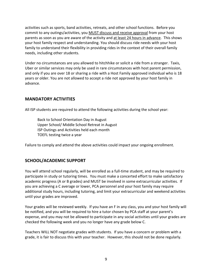activities such as sports, band activities, retreats, and other school functions. Before you commit to any outings/activities, you MUST discuss and receive approval from your host parents as soon as you are aware of the activity and at least 24 hours in advance. This shows your host family respect and understanding. You should discuss ride needs with your host family to understand their flexibility in providing rides in the context of their overall family needs, including other students.

Under no circumstances are you allowed to hitchhike or solicit a ride from a stranger. Taxis, Uber or similar services may only be used in rare circumstances with host parent permission, and only if you are over 18 or sharing a ride with a Host Family approved individual who is 18 years or older. You are not allowed to accept a ride not approved by your host family in advance.

## **MANDATORY ACTIVITIES**

All ISP students are required to attend the following activities during the school year:

Back to School Orientation Day in August Upper School/ Middle School Retreat in August ISP Outings and Activities held each month TOEFL testing twice a year

Failure to comply and attend the above activities could impact your ongoing enrollment.

## **SCHOOL/ACADEMIC SUPPORT**

You will attend school regularly, will be enrolled as a full-time student, and may be required to participate in study or tutoring times. You must make a concerted effort to make satisfactory academic progress (A or B grades) and MUST be involved in some extracurricular activities. If you are achieving a C average or lower, PCA personnel and your host family may require additional study hours, including tutoring, and limit your extracurricular and weekend activities until your grades are improved.

Your grades will be reviewed weekly. If you have an F in any class, you and your host family will be notified, and you will be required to hire a tutor chosen by PCA staff at your parent's expense, and you may not be allowed to participate in any social activities until your grades are checked the following week and you no longer have any grade below C.

Teachers WILL NOT negotiate grades with students. If you have a concern or problem with a grade, it is fair to discuss this with your teacher. However, this should not be done regularly.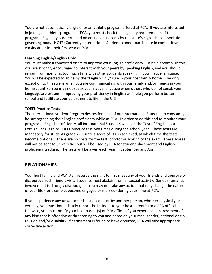You are not automatically eligible for an athletic program offered at PCA. If you are interested in joining an athletic program at PCA, you must check the eligibility requirements of the program. Eligibility is determined on an individual basis by the state's high school association governing body. NOTE: Currently, International Students cannot participate in competitive varsity athletics their first year at PCA.

## **Learning English/English Only**

You must make a concerted effort to improve your English proficiency. To help accomplish this, you are strongly encouraged to interact with your peers by speaking English, and you should refrain from spending too much time with other students speaking in your native language. You will be expected to abide by the "English Only" rule in your host family home. The only exception to this rule is when you are communicating with your family and/or friends in your home country. You may not speak your native language when others who do not speak your language are present. Improving your proficiency in English will help you perform better in school and facilitate your adjustment to life in the U.S.

## **TOEFL Practice Tests**

The International Student Program desires for each of our International Students to constantly be strengthening their English proficiency while at PCA. In order to do this and to monitor your progress in English proficiency, all International Students will take the Test of English as a Foreign Language or TOEFL practice test two times during the school year. These tests are mandatory for students grade 7-11 until a score of 100 is achieved, at which time the tests become optional. There are no costs for the test, proctor or scoring of the exam. These scores will not be sent to universities but will be used by PCA for student placement and English proficiency tracking. The tests will be given each year in September and April.

## **RELATIONSHIPS**

Your host family and PCA staff reserve the right to first meet any of your friends and approve or disapprove such friend's visit. Students must abstain from all sexual activity. Serious romantic involvement is strongly discouraged. You may not take any action that may change the nature of your life (for example, become engaged or married) during your time at PCA.

If you experience any unwelcomed sexual conduct by another person, whether physically or verbally, you must immediately report the incident to your host parent(s) or a PCA official. Likewise, you must notify your host parent(s) or PCA official if you experienced harassment of any kind that is offensive or threatening to you and based on your race, gender, national origin, religion and/or disability. If harassment is found to have occurred, PCA will take appropriate corrective action.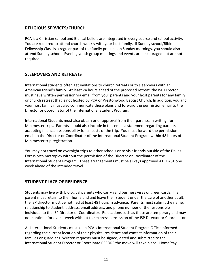## **RELIGIOUS SERVICES/CHURCH**

PCA is a Christian school and Biblical beliefs are integrated in every course and school activity. You are required to attend church weekly with your host family. If Sunday school/Bible Fellowship Class is a regular part of the family practice on Sunday mornings, you should also attend Sunday school. Evening youth group meetings and events are encouraged but are not required.

## **SLEEPOVERS AND RETREATS**

International students often get invitations to church retreats or to sleepovers with an American friend's family. At least 24 hours ahead of the proposed retreat, the ISP Director must have written permission via email from your parents and your host parents for any family or church retreat that is not hosted by PCA or Prestonwood Baptist Church. In addition, you and your host family must also communicate these plans and forward the permission email to the Director or Coordinator of the International Student Program.

International Students must also obtain prior approval from their parents, in writing, for Minimester trips. Parents should also include in this email a statement regarding parents accepting financial responsibility for all costs of the trip. You must forward the permission email to the Director or Coordinator of the International Student Program within 48 hours of Minimester trip registration.

You may not travel on overnight trips to other schools or to visit friends outside of the Dallas-Fort Worth metroplex without the permission of the Director or Coordinator of the International Student Program. These arrangements must be always approved AT LEAST one week ahead of the intended travel.

## **STUDENT PLACE OF RESIDENCE**

Students may live with biological parents who carry valid business visas or green cards. If a parent must return to their homeland and leave their student under the care of another adult, the ISP director must be notified at least 48 hours in advance. Parents must submit the name, relationship to student, address, email address, and phone number of the responsible individual to the ISP Director or Coordinator. Relocations such as these are temporary and may not continue for over 1 week without the express permission of the ISP Director or Coordinator.

All International Students must keep PCA's International Student Program Office informed regarding the current location of their physical residence and contact information of their families or guardians. Written requests must be signed, dated and submitted to the International Student Director or Coordinate BEFORE the move will take place. HomeStay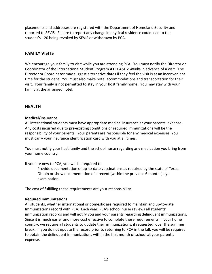placements and addresses are registered with the Department of Homeland Security and reported to SEVIS. Failure to report any change in physical residence could lead to the student's I-20 being revoked by SEVIS or withdrawn by PCA.

## **FAMILY VISITS**

We encourage your family to visit while you are attending PCA. You must notify the Director or Coordinator of the International Student Program **AT LEAST 2 weeks** in advance of a visit. The Director or Coordinator may suggest alternative dates if they feel the visit is at an inconvenient time for the student. You must also make hotel accommodations and transportation for their visit. Your family is not permitted to stay in your host family home. You may stay with your family at the arranged hotel.

## **HEALTH**

#### **Medical/Insurance**

All international students must have appropriate medical insurance at your parents' expense. Any costs incurred due to pre-existing conditions or required immunizations will be the responsibility of your parents. Your parents are responsible for any medical expenses. You must carry your insurance identification card with you at all times.

You must notify your host family and the school nurse regarding any medication you bring from your home country.

If you are new to PCA, you will be required to:

Provide documentation of up-to-date vaccinations as required by the state of Texas. Obtain or show documentation of a recent (within the previous 6 months) eye examination.

The cost of fulfilling these requirements are your responsibility.

#### **Required Immunizations**

All students, whether international or domestic are required to maintain and up-to-date Immunizations record with PCA. Each year, PCA's school nurse reviews all students' immunization records and will notify you and your parents regarding delinquent immunizations. Since it is much easier and more cost effective to complete these requirements in your home country, we require all students to update their immunizations, if requested, over the summer break. If you do not update the record prior to returning to PCA in the fall, you will be required to obtain the delinquent immunizations within the first month of school at your parent's expense.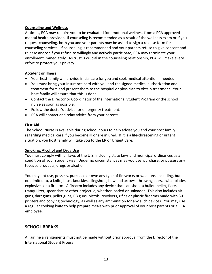#### **Counseling and Wellness**

At times, PCA may require you to be evaluated for emotional wellness from a PCA approved mental health provider. If counseling is recommended as a result of the wellness exam or if you request counseling, both you and your parents may be asked to sign a release form for counseling services. If counseling is recommended and your parents refuse to give consent and release and/or if you refuse to willingly and actively participate, PCA may terminate your enrollment immediately. As trust is crucial in the counseling relationship, PCA will make every effort to protect your privacy.

## **Accident or Illness**

- Your host family will provide initial care for you and seek medical attention if needed.
- You must bring your insurance card with you and the signed medical authorization and treatment form and present them to the hospital or physician to obtain treatment. Your host family will assure that this is done.
- Contact the Director or Coordinator of the International Student Program or the school nurse as soon as possible.
- Follow the doctor's advice for emergency treatment.
- PCA will contact and relay advice from your parents.

#### **First Aid**

The School Nurse is available during school hours to help advise you and your host family regarding medical care if you become ill or are injured. If it is a life-threatening or urgent situation, you host family will take you to the ER or Urgent Care.

#### **Smoking, Alcohol and Drug Use**

You must comply with all laws of the U.S. including state laws and municipal ordinances as a condition of your student visa. Under no circumstances may you use, purchase, or possess any tobacco products, drugs or alcohol.

You may not use, possess, purchase or own any type of fireworks or weapons, including, but not limited to, a knife, brass knuckles, slingshots, bow and arrows, throwing stars, switchblades, explosives or a firearm. A firearm includes any device that can shoot a bullet, pellet, flare, tranquilizer, spear dart or other projectile, whether loaded or unloaded. This also includes air guns, dart guns, pellet guns, BB guns, pistols, revolvers, rifles or plastic firearms made with 3-D printers and copying technology, as well as any ammunition for any such devices. You may use a regular cooking knife to help prepare meals with prior approval of your host parents or a PCA employee.

## **SCHOOL BREAKS**

All airline arrangements must not be made without prior approval from the Director of the International Student Program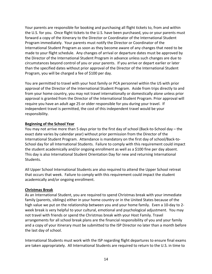Your parents are responsible for booking and purchasing all flight tickets to, from and within the U.S. for you. Once flight tickets to the U.S. have been purchased, you or your parents must forward a copy of the itinerary to the Director or Coordinator of the International Student Program immediately. Your parents must notify the Director or Coordinator of the International Student Program as soon as they become aware of any changes that need to be made to your flight schedule. Any changes of arrival or departure dates must be approved by the Director of the International Student Program in advance unless such changes are due to circumstances beyond control of you or your parents. If you arrive or depart earlier or later than the specified dates without prior approval of the Director of the International Student Program, you will be charged a fee of \$100 per day.

You are permitted to travel with your host family or PCA personnel within the US with prior approval of the Director of the International Student Program. Aside from trips directly to and from your home country, you may not travel internationally or domestically alone unless prior approval is granted from the Director of the International Student Program. Prior approval will require you have an adult age 25 or older responsible for you during your travel. If independent travel is permitted, the cost of this independent travel would be your responsibility.

#### **Beginning of the School Year**

You may not arrive more than 5 days prior to the first day of school (Back-to-School day – the exact date varies by calendar year) without prior permission from the Director of the International Student Program. Attendance is mandatory on the first day of school/Back-to-School day for all International Students. Failure to comply with this requirement could impact the student academically and/or ongoing enrollment as well as a \$100 fine per day absent. This day is also International Student Orientation Day for new and returning International Students.

All Upper School International Students are also required to attend the Upper School retreat that occurs that week. Failure to comply with this requirement could impact the student academically and/or ongoing enrollment.

#### **Christmas Break**

As an International Student, you are required to spend Christmas break with your immediate family (parents, siblings) either in your home country or in the United States because of the high value we put on the relationship between you and your home family. Even a 10-day to 2 week break is very helpful to your cultural, emotional and psychological adjustment. You may not travel with friends or spend the Christmas break with your Host Family. Travel arrangements for all school break plans are the financial responsibility of you and your family and a copy of your itinerary must be submitted to the ISP Director no later than a month before the last day of school.

International Students must work with the ISP regarding flight departures to ensure final exams are taken appropriately. All International Students are required to return to the U.S. in time to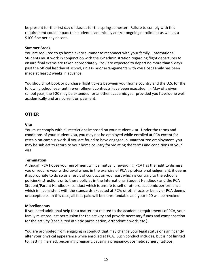be present for the first day of classes for the spring semester. Failure to comply with this requirement could impact the student academically and/or ongoing enrollment as well as a \$100 fine per day absent.

#### **Summer Break**

You are required to go home every summer to reconnect with your family. International Students must work in conjunction with the ISP administration regarding flight departures to ensure final exams are taken appropriately. You are expected to depart no more than 5 days past the official last day of school, unless prior arrangements with you Host Family has been made at least 2 weeks in advance.

You should not book or purchase flight tickets between your home country and the U.S. for the following school year until re-enrollment contracts have been executed. In May of a given school year, the I-20 may be extended for another academic year provided you have done well academically and are current on payment.

## **OTHER**

## **Visa**

You must comply with all restrictions imposed on your student visa. Under the terms and conditions of your student visa, you may not be employed while enrolled at PCA except for certain on-campus work. If you are found to have engaged in unauthorized employment, you may be subject to return to your home country for violating the terms and conditions of your visa.

## **Termination**

Although PCA hopes your enrollment will be mutually rewarding, PCA has the right to dismiss you or require your withdrawal when, in the exercise of PCA's professional judgement, it deems it appropriate to do so as a result of conduct on your part which is contrary to the school's policies/instructions or to these policies in the International Student Handbook and the PCA Student/Parent Handbook; conduct which is unsafe to self or others, academic performance which is inconsistent with the standards expected at PCA; or other acts or behavior PCA deems unacceptable. In this case, all fees paid will be nonrefundable and your I-20 will be revoked.

## **Miscellaneous**

If you need additional help for a matter not related to the academic requirements of PCA, your family must request permission for the activity and provide necessary funds and compensation for the activity (specialized athletic participation, orthodontic work, etc.).

You are prohibited from engaging in conduct that may change your legal status or significantly alter your physical appearance while enrolled at PCA. Such conduct includes, but is not limited to, getting married, becoming pregnant, causing a pregnancy, cosmetic surgery, tattoos,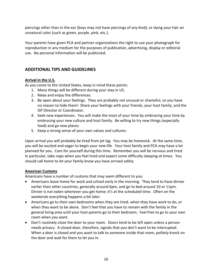piercings other than in the ear (boys may not have piercings of any kind), or dying your hair an unnatural color (such as green, purple, pink, etc.).

Your parents have given PCA and partner organizations the right to use your photograph for reproduction in any medium for the purposes of publication, advertising, display or editorial use. No personal information will be publicized.

## **ADDITIONAL TIPS AND GUIDELINES**

## **Arrival in the U.S.**

As you come to the United States, keep in mind these points:

- 1. Many things will be different during your stay in US.
- 2. Relax and enjoy the differences.
- 3. Be open about your feelings. They are probably not unusual or shameful, so you have no reason to hide them! Share your feelings with your friends, your host family, and the ISP Director or Coordinator.
- 4. Seek new experiences. You will make the most of your time by embracing your time by embracing your new culture and host family. Be willing to try new things (especially food) and go new places.
- 5. Keep a strong sense of your own values and cultures.

Upon arrival you will probably be tired from jet lag. You may be homesick. At the same time, you will be excited and eager to begin your new life. Your host family and PCA may have a lot planned for you. Care for yourself during this time. Remember you will be nervous and tired. In particular, take naps when you feel tired and expect some difficulty sleeping at times. You should call home to let your family know you have arrived safely.

## **American Customs**

Americans have a number of customs that may seem different to you:

- Americans leave home for work and school early in the morning. They tend to have dinner earlier than other countries, generally around 6pm, and go to bed around 10 or 11pm. Dinner is not eaten whenever you get home; it's at the scheduled time. Often on the weekends everything happens a bit later.
- Americans go to their own bedrooms when they are tired, when they have work to do, or when they want to be alone. Don't feel that you have to remain with the family in the general living area until your host parents go to their bedroom. Feel free to go to your own room when you want.
- Don't routinely close the door to your room. Doors tend to be left open unless a person needs privacy. A closed door, therefore, signals that you don't want to be interrupted. When a door is closed and you want to talk to someone inside that room, politely knock on the door and wait for them to let you in.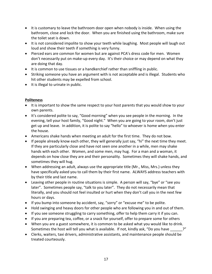- It is customary to leave the bathroom door open when nobody is inside. When using the bathroom, close and lock the door. When you are finished using the bathroom, make sure the toilet seat is down.
- It is not considered impolite to show your teeth while laughing. Most people will laugh out loud and show their teeth if something is very funny.
- Pierced ears are common for women but are against PCA's dress code for men. Women don't necessarily put on make-up every day. It's their choice or may depend on what they are doing that day.
- It is common to use tissues or a handkerchief rather than sniffling in public.
- Striking someone you have an argument with is not acceptable and is illegal. Students who hit other students may be expelled from school.
- It is illegal to urinate in public.

## **Politeness**

- It is important to show the same respect to your host parents that you would show to your own parents.
- It's considered polite to say, "Good morning" when you see people in the morning. In the evening, tell your host family, "Good night." When you are going to your room, don't just get up and leave. In addition, it is polite to say "hello" to whoever is home when you enter the house.
- Americans shake hands when meeting an adult for the first time. They do not bow.
- If people already know each other, they will generally just say, "hi" the next time they meet. If they are particularly close and have not seen one another in a while, men may shake hands with each other. Women, and some men, may hug. For a man and a woman, it depends on how close they are and their personality. Sometimes they will shake hands, and sometimes they will hug.
- When addressing an adult, always use the appropriate title (Mr., Miss, Mrs.) unless they have specifically asked you to call them by their first name. ALWAYS address teachers with by their title and last name.
- Leaving other people in routine situations is simple. A person will say, "bye" or "see you later". Sometimes people say, "talk to you later". They do not necessarily mean that literally, and you should not feel insulted or hurt when they don't call you in the next few hours or days.
- If you bump into someone by accident, say, "sorry" or "excuse me" to be polite.
- Hold swinging and heavy doors for other people who are following you in and out of them.
- If you see someone struggling to carry something, offer to help them carry it if you can.
- If you are preparing tea, coffee, or a snack for yourself, offer to prepare some for others
- When you are a guest somewhere, it is common to be asked what you would like to drink. Sometimes the host will tell you what is available. If not, kindly ask, "Do you have  $\cdot$ ?"
- Clerks, waiters, taxi drivers, administrative assistants, and maintenance people should be treated courteously.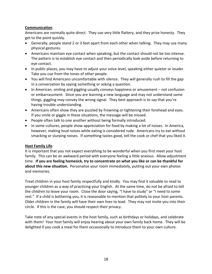## **Communication**

Americans are normally quite direct. They use very little flattery, and they prize honesty. They get to the point quickly.

- Generally, people stand 2 or 3 feet apart from each other when talking. They may use many physical gestures.
- Americans maintain eye contact when speaking, but the contact should not be too intense. The pattern is to establish eye contact and then periodically look aside before returning to eye contact.
- In public places, you may have to adjust your voice level, speaking either quieter or louder. Take you cue from the tones of other people.
- You will find Americans uncomfortable with silence. They will generally rush to fill the gap in a conversation by saying something or asking a question.
- In American, smiling and giggling usually conveys happiness or amusement not confusion or embarrassment. Since you are learning a new language and may not understand some things, giggling may convey the wrong signal. They best approach is to say that you're having trouble understanding.
- Americans often show they are puzzled by frowning or tightening their forehead and eyes. If you smile or giggle in these situations, the message will be missed.
- People often talk to one another without being formally introduced.
- In some cultures, people show appreciation for food by making a lot of noises. In America, however, making loud noises while eating is considered rude. Americans try to eat without smacking or slurping noises. If something tastes good, tell the cook or chef that you liked it.

## **Host Family Life**

It is important that you not expect everything to be wonderful when you first meet your host family. This can be an awkward period with everyone feeling a little anxious. Allow adjustment time. **If you are feeling homesick, try to concentrate on what you like or can be thankful for about this new situation.** Personalize your room immediately, putting out your own photos and memories.

Treat children in your host family respectfully and kindly. You may find it valuable to read to younger children as a way of practicing your English. At the same time, do not be afraid to tell the children to leave your room. Close the door saying, "I have to study" or "I need to some rest." If a child is bothering you, it is reasonable to mention that politely to your host parents. Older children in the family will have their own lives to lead. They may not invite you into their circle. If this is the case, you should respect their privacy.

Take note of any special events in the host family, such as birthdays or holidays, and celebrate with them! Your host family will enjoy hearing about your own family back home. They will be delighted if you cook a meal for them occasionally to introduce them to your own culture.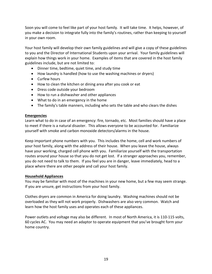Soon you will come to feel like part of your host family. It will take time. It helps, however, of you make a decision to integrate fully into the family's routines, rather than keeping to yourself in your own room.

Your host family will develop their own family guidelines and will give a copy of these guidelines to you and the Director of International Students upon your arrival. Your family guidelines will explain how things work in your home. Examples of items that are covered in the host family guidelines include, but are not limited to:

- Dinner time, bedtime, quiet time, and study time
- How laundry is handled (how to use the washing machines or dryers)
- Curfew hours
- How to clean the kitchen or dining area after you cook or eat
- Dress code outside your bedroom
- How to run a dishwasher and other appliances
- What to do in an emergency in the home
- The family's table manners, including who sets the table and who clears the dishes

#### **Emergencies**

Learn what to do in case of an emergency: fire, tornado, etc. Most families should have a place to meet if there is a natural disaster. This allows everyone to be accounted for. Familiarize yourself with smoke and carbon monoxide detectors/alarms in the house.

Keep important phone numbers with you. This includes the home, cell and work numbers of your host family, along with the address of their house. When you leave the house, always have your working, charged cell phone with you. Familiarize yourself with the transportation routes around your house so that you do not get lost. If a stranger approaches you, remember, you do not need to talk to them. If you feel you are in danger, leave immediately, head to a place where there are other people and call your host family.

#### **Household Appliances**

You may be familiar with most of the machines in your new home, but a few may seem strange. If you are unsure, get instructions from your host family.

Clothes dryers are common in America for doing laundry. Washing machines should not be overloaded as they will not work properly. Dishwashers are also very common. Watch and learn how the host family uses and operates each of these appliances.

Power outlets and voltage may also be different. In most of North America, it is 110-115 volts, 60 cycles AC. You may need an adaptor to operate equipment that you've brought form your home country.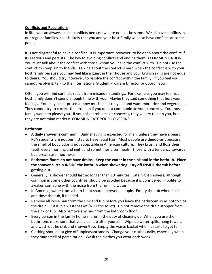## **Conflicts and Resolutions**

In life, we can always expect conflicts because we are not all the same. We all have conflicts in our regular families, so it is likely that you and your host family will also have conflicts at some point.

It is not disgraceful to have a conflict. It is important, however, to be open about the conflict if it is serious and persists. The key to avoiding conflicts and ending them is COMMUNICATION. You must talk about the conflict with those whom you have the conflict with. Do not use the conflict to complain to friends. Talking about the conflict is hard when the conflict is with your host family because you may feel like a guest in their house and your English skills are not equal to theirs. You should try, however, to resolve the conflict within the family. If you feel you cannot resolve it, talk to the International Student Program Director or Coordinator.

Often, you will find conflicts result from misunderstandings. For example, you may feel your host family doesn't spend enough time with you. Maybe they said something that hurt your feelings. You may be surprised at how much meat they eat and want more rice and vegetables. They cannot try to correct the problem if you do not communicate your concerns. Your host family wants to please you. If you raise problems or concerns, they will try to help you, but they are not mind readers: COMMUNICATE YOUR CONCERNS.

## **Bathroom**

- **A daily shower is common.** Daily shaving is expected for men, unless they have a beard. PCA students are not permitted to have facial hair. Most people use **deodorant** because the smell of body odor is not acceptable in American culture. They brush and floss their teeth every morning and night and sometimes after meals. Those with a tendency towards bad breath use mouthwash.
- **Bathroom floors do not have drains. Keep the water in the sink and in the bathtub. Place the shower curtain INSIDE the bathtub when showering. Dry off INSIDE the tub before getting out.**
- Generally, a shower should last no longer than 10 minutes. Late night showers, although common in some other countries, should be avoided because it is considered impolite to awaken someone with the noise from the running water.
- In America, water from a bath is not shared between people. Empty the tub when finished and rinse the tub, if needed.
- Remove all loose hair from the sink and tub before you leave the bathroom so as not to clog the drain. Put it in a wastebasket (NOT the toilet). Do not remove the drain stopper from the sink or tub. Also remove any hair from the bathroom floor.
- Every person in the family home shares in the duty of cleaning up. When you use the bathroom, make sure that you clean up after yourself. Wipe up water spills, hang towels, and wash out he sink and shower/tub. Empty the waste basket when it starts to get full.
- Clothing should not give off unpleasant smells. Change your clothes daily, especially when they may smell of perspiration. Wash the clothes you wear each week.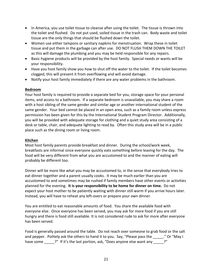- In America, you use toilet tissue to cleanse after using the toilet. The tissue is thrown into the toilet and flushed. Do not put used, soiled tissue in the trash can. Body waste and toilet tissue are the only things that should be flushed down the toilet.
- Women use either tampons or sanitary napkins for menstruation. Wrap these in toilet tissue and put them in the garbage can after use. DO NOT FLUSH THEM DOWN THE TOILET as this will damage the plumbing and you may be held responsible for any repairs.
- Basic hygiene products will be provided by the host family. Special needs or wants will be your responsibility.
- Have you host family show you how to shut off the water to the toilet. If the toilet becomes clogged, this will prevent it from overflowing and will avoid damage.
- Notify your host family immediately if there are any water problems in the bathroom.

## **Bedroom**

Your host family is required to provide a separate bed for you, storage space for your personal items, and access to a bathroom. If a separate bedroom is unavailable, you may share a room with a host sibling of the same gender and similar age or another international student of the same gender. Your bed cannot be placed in an open area, such as a family room unless express permission has been given for this by the International Student Program Director. Additionally, you will be provided with adequate storage for clothing and a quiet study area consisting of a desk or table, chair, and adequate lighting to read by. Often this study area will be in a public place such as the dining room or living room.

## **Kitchen**

Most host family parents provide breakfast and dinner. During the school/work week, breakfasts are informal since everyone quickly eats something before leaving for the day. The food will be very different from what you are accustomed to and the manner of eating will probably be different too.

Dinner will be more like what you may be accustomed to, in the sense that everybody tries to eat dinner together and a parent usually cooks. It may be much earlier than you are accustomed to and sometimes may be rushed if family members have other events or activities planned for the evening. **It is your responsibility to be home for dinner on time.** Do not expect your host mother to be patiently waiting with dinner still warm if you arrive hours later. Instead, you will have to reheat any left-overs or prepare your own dinner.

You are entitled to eat reasonable amounts of food. You share the available food with everyone else. Once everyone has been served, you may ask for more food if you are still hungry and there is food still available. It is not considered rude to ask for more after everyone has been served.

Food is generally passed around the table. Do not reach over someone to grab food or the salt and pepper. Politely ask the others to hand it to you. Say, "Please pass the ....................... have some <sup>2"</sup> If it's the last portion, ask, "Does anyone else want any 2"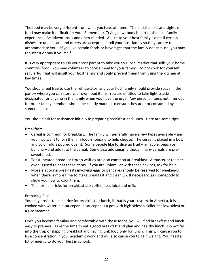The food may be very different from what you have at home. The initial smells and sights of food may make it difficult for you. Remember: Trying new foods is part of the host family experience. Be adventurous and open-minded. Adjust to your host family's diet. If certain dishes are unpleasant and others are acceptable, tell your host family so they can try to accommodate you. If you like certain foods or beverages that the family doesn't use, you may request it or buy it yourself.

It is very appropriate to ask your host parent to take you to a local market that sells your home country's food. You may volunteer to cook a meal for your family. Do not cook for yourself regularly. That will insult your host family and could prevent them from using the kitchen at key times.

You should feel free to use the refrigerator, and your host family should provide space in the pantry where you can store your own food items. You are entitled to take light snacks designated for anyone in the family when you have the urge. Any personal items not intended for other family members should be clearly marked to ensure they are not consumed by someone else.

You should ask for assistance initially in preparing breakfast and lunch. Here are some tips:

## Breakfast**:**

- Cereal is common for breakfast. The family will generally have a few types available and you may want to join them in food-shopping to help choose. The cereal is placed in a bowl and cold milk is poured over it. Some people like to slice up fruit – an apple, peach or banana – and add it to the cereal. Some also add sugar, although many cereals are presweetened.
- Toast (heated bread) or frozen waffles are also common at breakfast. A toaster or toaster oven is used to heat these items. If you are unfamiliar with these devices, ask for help.
- More elaborate breakfasts involving eggs or pancakes should be reserved for weekends when there is more time to make breakfast and clean up. If necessary, ask somebody to show you how to cook them.
- The normal drinks for breakfast are coffee, tea, juice and milk.

## Preparing Rice:

You may prefer to make rice for breakfast or lunch, if that is your custom. In America, it is cooked with water in a saucepan (a saucepan is a pot with high sides; a skillet has low sides) or a rice steamer.

Once you become familiar and comfortable with these foods, you will find breakfast and lunch easy to prepare. Take the time to eat a good breakfast and plan and healthy lunch. Do not fall into the trap of skipping breakfast and having junk food only for lunch. This will cause you to lose concentration in your academic work and will also cause you to gain weight. You need a lot of energy to do your best in school.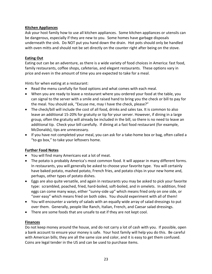## **Kitchen Appliances**

Ask your host family how to use all kitchen appliances. Some kitchen appliances or utensils can be dangerous, especially if they are new to you. Some homes have garbage disposals underneath the sink. Do NOT put you hand down the drain. Hot pots should only be handled with oven mitts and should not be set directly on the counter right after being on the stove.

## **Eating Out**

Eating out can be an adventure, as there is a wide variety of food choices in America: fast food, family restaurants, coffee shops, cafeterias, and elegant restaurants. These options vary in price and even in the amount of time you are expected to take for a meal.

Hints for when eating at a restaurant:

- Read the menu carefully for food options and what comes with each meal.
- When you are ready to leave a restaurant where you ordered your food at the table, you can signal to the server with a smile and raised hand to bring you the check or bill to pay for the meal. You should ask, "Excuse me, may I have the check, please?"
- The check/bill will include the cost of all food, drinks and sales tax. It is common to also leave an additional 15-20% for gratuity or tip for your server. However, if dining in a large group, often the gratuity will already be included in the bill, so there is no need to leave an additional tip. Check your bill carefully. If dining at a fast food restaurant (for example, McDonalds), tips are unnecessary.
- If you have not completed your meal, you can ask for a take-home box or bag, often called a "to-go box," to take your leftovers home.

## **Further Food Notes**

- You will find many Americans eat a lot of meat.
- The potato is probably America's most common food. It will appear in many different forms. In restaurants, you will generally be asked to choose your favorite type. You will certainly have baked potato, mashed potato, French fries, and potato chips in your new home and, perhaps, other types of potato dishes.
- Eggs are also quite versatile, and again in restaurants you may be asked to pick your favorite type: scrambled, poached, fried, hard-boiled, soft-boiled, and in omelets. In addition, fried eggs can come many ways, either "sunny-side up" which means fried only on one side, or "over easy" which means fried on both sides. You should experiment with all of them!
- You will encounter a variety of salads with an equally wide array of salad dressings to put over them. Generally, people like Ranch, Italian, French, and Caesar salad dressings.
- There are some foods that are unsafe to eat if they are not kept cool.

## **Finances**

Do not keep money around the house, and do not carry a lot of cash with you. If possible, open a bank account to ensure your money is safe. Your host family will help you do this. Be careful with American bills; they are all the same size and color, and it is easy to get them confused. Coins are legal tender in the US and can be used to purchase items.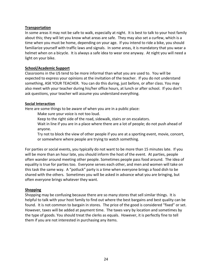#### **Transportation**

In some areas it may not be safe to walk, especially at night. It is best to talk to your host family about this; they will let you know what areas are safe. They may also set a curfew, which is a time when you must be home, depending on your age. If you intend to ride a bike, you should familiarize yourself with traffic laws and signals. In some areas, it is mandatory that you wear a helmet when on a bicycle. It is always a safe idea to wear one anyway. At night you will need a light on your bike.

#### **School/Academic Support**

Classrooms in the US tend to be more informal than what you are used to. You will be expected to express your opinions at the invitation of the teacher. If you do not understand something, ASK YOUR TEACHER. You can do this during, just before, or after class. You may also meet with your teacher during his/her office hours, at lunch or after school. If you don't ask questions, your teacher will assume you understand everything.

#### **Social Interaction**

Here are some things to be aware of when you are in a public place:

Make sure your voice is not too loud.

Keep to the right side of the road, sidewalk, stairs or on escalators.

Wait in line if you are in a place where there are a lot of people; do not push ahead of anyone.

Try not to block the view of other people if you are at a sporting event, movie, concert, or somewhere where people are trying to watch something.

For parties or social events, you typically do not want to be more than 15 minutes late. If you will be more than an hour late, you should inform the host of the event. At parties, people often wander around meeting other people. Sometimes people pass food around. The idea of equality is true for parties too. Everyone serves each other, and men and women will take on this task the same way. A "potluck" party is a time when everyone brings a food dish to be shared with the others. Sometimes you will be asked in advance what you are bringing, but often everyone brings whatever they want.

## **Shopping**

Shopping may be confusing because there are so many stores that sell similar things. It is helpful to talk with your host family to find out where the best bargains and best quality can be found. It is not common to bargain in stores. The price of the good is considered "fixed" or set. However, taxes will be added at payment time. The taxes vary by location and sometimes by the type of goods. You should treat the clerks as equals. However, it is perfectly fine to tell them if you are not interested in purchasing any items.